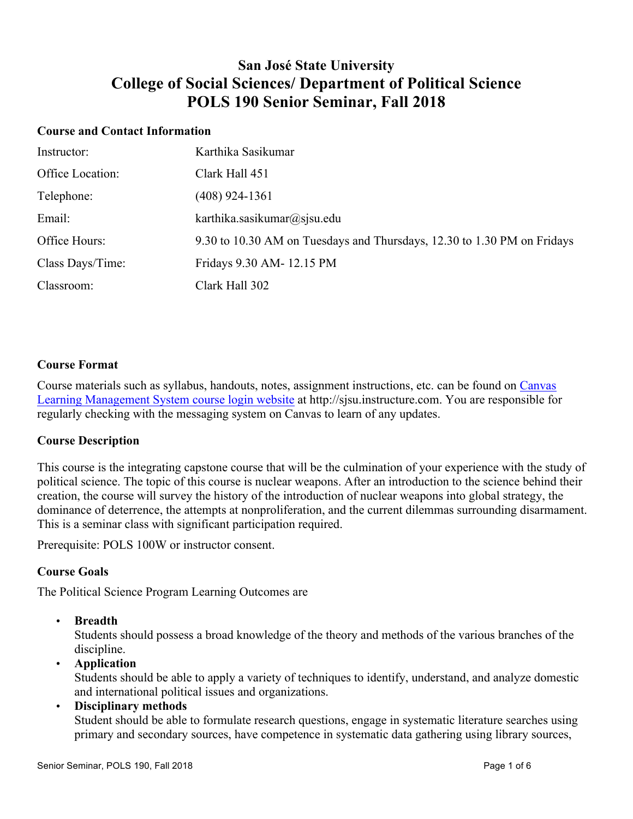## **San José State University College of Social Sciences/ Department of Political Science POLS 190 Senior Seminar, Fall 2018**

#### **Course and Contact Information**

| Instructor:      | Karthika Sasikumar                                                      |
|------------------|-------------------------------------------------------------------------|
| Office Location: | Clark Hall 451                                                          |
| Telephone:       | $(408)$ 924-1361                                                        |
| Email:           | karthika.sasikumar@sjsu.edu                                             |
| Office Hours:    | 9.30 to 10.30 AM on Tuesdays and Thursdays, 12.30 to 1.30 PM on Fridays |
| Class Days/Time: | Fridays 9.30 AM-12.15 PM                                                |
| Classroom:       | Clark Hall 302                                                          |

#### **Course Format**

Course materials such as syllabus, handouts, notes, assignment instructions, etc. can be found on Canvas Learning Management System course login website at http://sjsu.instructure.com. You are responsible for regularly checking with the messaging system on Canvas to learn of any updates.

#### **Course Description**

This course is the integrating capstone course that will be the culmination of your experience with the study of political science. The topic of this course is nuclear weapons. After an introduction to the science behind their creation, the course will survey the history of the introduction of nuclear weapons into global strategy, the dominance of deterrence, the attempts at nonproliferation, and the current dilemmas surrounding disarmament. This is a seminar class with significant participation required.

Prerequisite: POLS 100W or instructor consent.

#### **Course Goals**

The Political Science Program Learning Outcomes are

• **Breadth**

Students should possess a broad knowledge of the theory and methods of the various branches of the discipline.

## • **Application**

Students should be able to apply a variety of techniques to identify, understand, and analyze domestic and international political issues and organizations.

#### • **Disciplinary methods**

Student should be able to formulate research questions, engage in systematic literature searches using primary and secondary sources, have competence in systematic data gathering using library sources,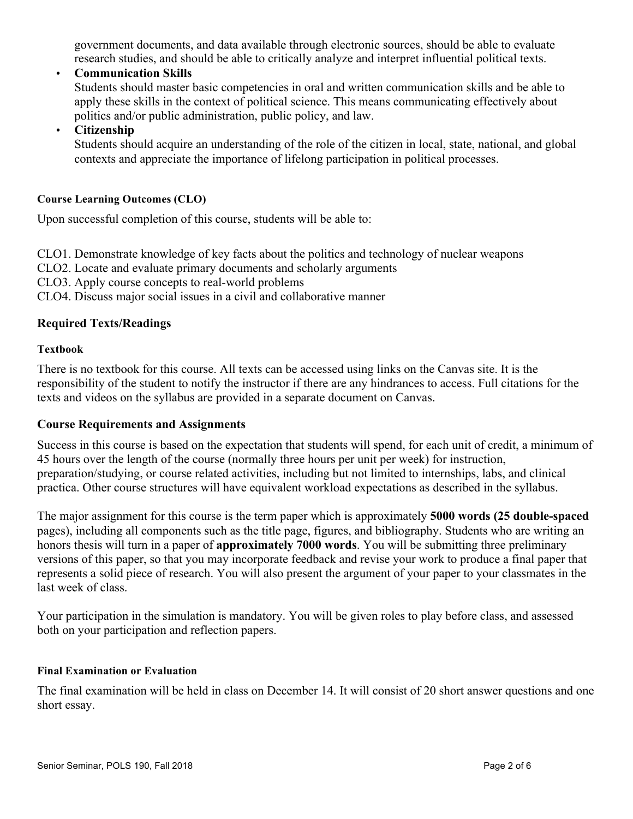government documents, and data available through electronic sources, should be able to evaluate research studies, and should be able to critically analyze and interpret influential political texts.

• **Communication Skills** Students should master basic competencies in oral and written communication skills and be able to apply these skills in the context of political science. This means communicating effectively about politics and/or public administration, public policy, and law.

• **Citizenship**

Students should acquire an understanding of the role of the citizen in local, state, national, and global contexts and appreciate the importance of lifelong participation in political processes.

### **Course Learning Outcomes (CLO)**

Upon successful completion of this course, students will be able to:

CLO1. Demonstrate knowledge of key facts about the politics and technology of nuclear weapons

CLO2. Locate and evaluate primary documents and scholarly arguments

CLO3. Apply course concepts to real-world problems

CLO4. Discuss major social issues in a civil and collaborative manner

## **Required Texts/Readings**

#### **Textbook**

There is no textbook for this course. All texts can be accessed using links on the Canvas site. It is the responsibility of the student to notify the instructor if there are any hindrances to access. Full citations for the texts and videos on the syllabus are provided in a separate document on Canvas.

#### **Course Requirements and Assignments**

Success in this course is based on the expectation that students will spend, for each unit of credit, a minimum of 45 hours over the length of the course (normally three hours per unit per week) for instruction, preparation/studying, or course related activities, including but not limited to internships, labs, and clinical practica. Other course structures will have equivalent workload expectations as described in the syllabus.

The major assignment for this course is the term paper which is approximately **5000 words (25 double-spaced** pages), including all components such as the title page, figures, and bibliography. Students who are writing an honors thesis will turn in a paper of **approximately 7000 words**. You will be submitting three preliminary versions of this paper, so that you may incorporate feedback and revise your work to produce a final paper that represents a solid piece of research. You will also present the argument of your paper to your classmates in the last week of class.

Your participation in the simulation is mandatory. You will be given roles to play before class, and assessed both on your participation and reflection papers.

#### **Final Examination or Evaluation**

The final examination will be held in class on December 14. It will consist of 20 short answer questions and one short essay.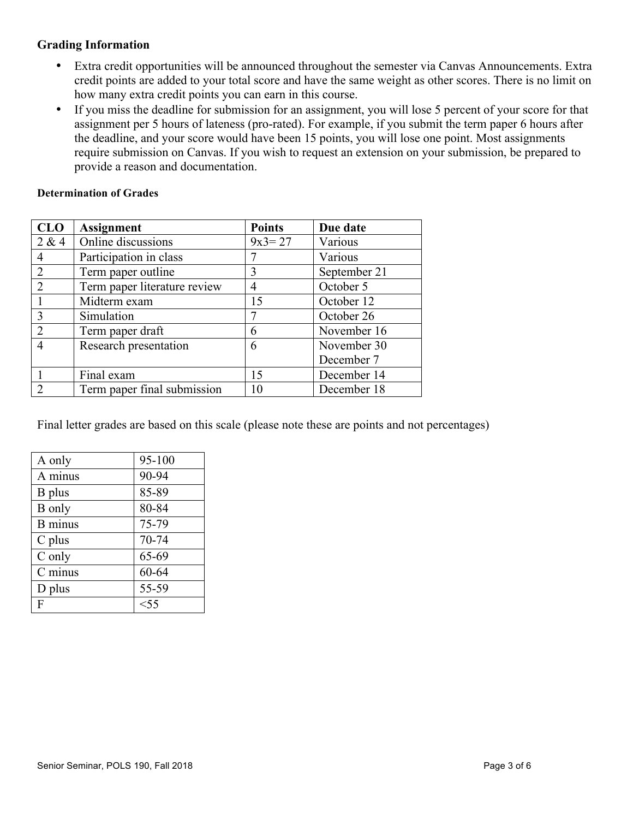## **Grading Information**

- Extra credit opportunities will be announced throughout the semester via Canvas Announcements. Extra credit points are added to your total score and have the same weight as other scores. There is no limit on how many extra credit points you can earn in this course.
- If you miss the deadline for submission for an assignment, you will lose 5 percent of your score for that assignment per 5 hours of lateness (pro-rated). For example, if you submit the term paper 6 hours after the deadline, and your score would have been 15 points, you will lose one point. Most assignments require submission on Canvas. If you wish to request an extension on your submission, be prepared to provide a reason and documentation.

#### **Determination of Grades**

| <b>CLO</b>     | <b>Assignment</b>            | <b>Points</b> | Due date     |
|----------------|------------------------------|---------------|--------------|
| 2 & 4          | Online discussions           | $9x3 = 27$    | Various      |
|                | Participation in class       |               | Various      |
| $\overline{2}$ | Term paper outline           | 3             | September 21 |
| $\overline{2}$ | Term paper literature review | 4             | October 5    |
|                | Midterm exam                 | 15            | October 12   |
| $\mathcal{R}$  | Simulation                   | 7             | October 26   |
| $\mathcal{D}$  | Term paper draft             | 6             | November 16  |
| 4              | Research presentation        | 6             | November 30  |
|                |                              |               | December 7   |
|                | Final exam                   | 15            | December 14  |
|                | Term paper final submission  | 10            | December 18  |

Final letter grades are based on this scale (please note these are points and not percentages)

| A only         | 95-100 |
|----------------|--------|
| A minus        | 90-94  |
| B plus         | 85-89  |
| <b>B</b> only  | 80-84  |
| <b>B</b> minus | 75-79  |
| $C$ plus       | 70-74  |
| C only         | 65-69  |
| C minus        | 60-64  |
| D plus         | 55-59  |
| F              | $<$ 55 |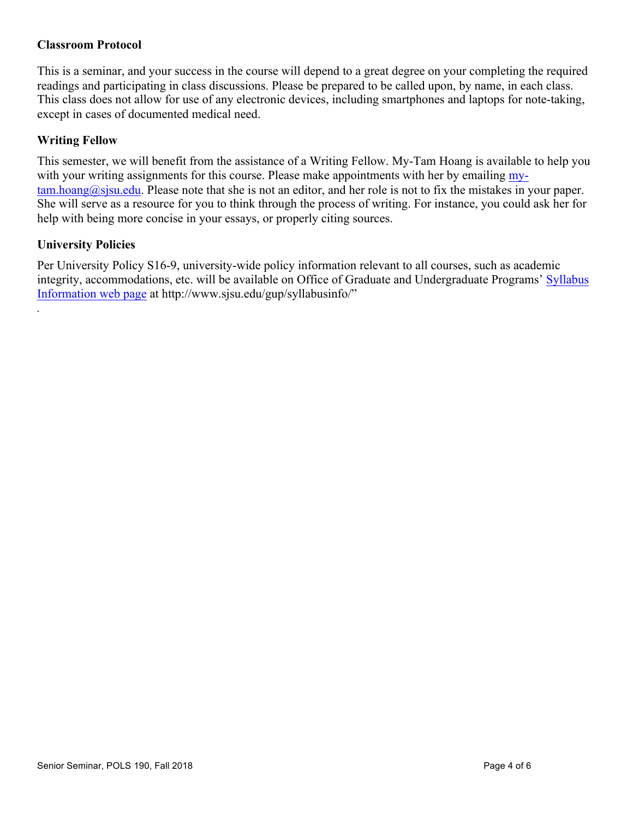## **Classroom Protocol**

This is a seminar, and your success in the course will depend to a great degree on your completing the required readings and participating in class discussions. Please be prepared to be called upon, by name, in each class. This class does not allow for use of any electronic devices, including smartphones and laptops for note-taking, except in cases of documented medical need.

## **Writing Fellow**

This semester, we will benefit from the assistance of a Writing Fellow. My-Tam Hoang is available to help you with your writing assignments for this course. Please make appointments with her by emailing my- $\tan, \n *h*oang*(a)*sjsu.edu. Please note that she is not an editor, and her role is not to fix the mistakes in your paper.$ She will serve as a resource for you to think through the process of writing. For instance, you could ask her for help with being more concise in your essays, or properly citing sources.

## **University Policies**

*.*

Per University Policy S16-9, university-wide policy information relevant to all courses, such as academic integrity, accommodations, etc. will be available on Office of Graduate and Undergraduate Programs' Syllabus Information web page at http://www.sjsu.edu/gup/syllabusinfo/"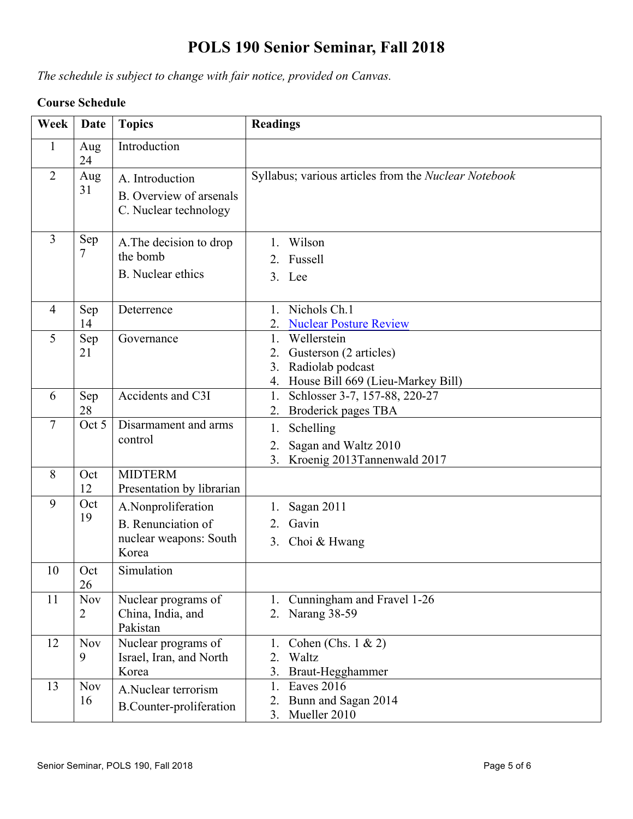# **POLS 190 Senior Seminar, Fall 2018**

*The schedule is subject to change with fair notice, provided on Canvas.*

## **Course Schedule**

| Week           | <b>Date</b>                  | <b>Topics</b>                                                                      | <b>Readings</b>                                                                                                        |
|----------------|------------------------------|------------------------------------------------------------------------------------|------------------------------------------------------------------------------------------------------------------------|
| 1              | Aug<br>24                    | Introduction                                                                       |                                                                                                                        |
| $\overline{2}$ | Aug<br>31                    | A. Introduction<br>B. Overview of arsenals<br>C. Nuclear technology                | Syllabus; various articles from the Nuclear Notebook                                                                   |
| $\overline{3}$ | Sep<br>7                     | A. The decision to drop<br>the bomb<br><b>B.</b> Nuclear ethics                    | Wilson<br>1.<br>2. Fussell<br>3. Lee                                                                                   |
| $\overline{4}$ | Sep<br>14                    | Deterrence                                                                         | 1. Nichols Ch.1<br><b>Nuclear Posture Review</b>                                                                       |
| 5              | Sep<br>21                    | Governance                                                                         | Wellerstein<br>1.<br>Gusterson (2 articles)<br>2.<br>Radiolab podcast<br>3.<br>House Bill 669 (Lieu-Markey Bill)<br>4. |
| 6              | Sep<br>28                    | Accidents and C3I                                                                  | Schlosser 3-7, 157-88, 220-27<br>1.<br>Broderick pages TBA<br>2.                                                       |
| $\tau$         | Oct 5                        | Disarmament and arms<br>control                                                    | Schelling<br>1.<br>Sagan and Waltz 2010<br>2.<br>3 <sub>1</sub><br>Kroenig 2013Tannenwald 2017                         |
| 8              | Oct<br>12                    | <b>MIDTERM</b><br>Presentation by librarian                                        |                                                                                                                        |
| 9              | Oct<br>19                    | A.Nonproliferation<br><b>B.</b> Renunciation of<br>nuclear weapons: South<br>Korea | Sagan 2011<br>1.<br>Gavin<br>2.<br>3. Choi & Hwang                                                                     |
| 10             | Oct<br>26                    | Simulation                                                                         |                                                                                                                        |
| 11             | <b>Nov</b><br>$\overline{2}$ | Nuclear programs of<br>China, India, and<br>Pakistan                               | Cunningham and Fravel 1-26<br>1.<br>Narang 38-59<br>2.                                                                 |
| 12             | <b>Nov</b><br>9              | Nuclear programs of<br>Israel, Iran, and North<br>Korea                            | Cohen (Chs. $1 \& 2$ )<br>1.<br>Waltz<br>2.<br>3.<br>Braut-Hegghammer                                                  |
| 13             | <b>Nov</b><br>16             | A.Nuclear terrorism<br><b>B.Counter-proliferation</b>                              | <b>Eaves 2016</b><br>1.<br>Bunn and Sagan 2014<br>2.<br>Mueller 2010<br>3.                                             |